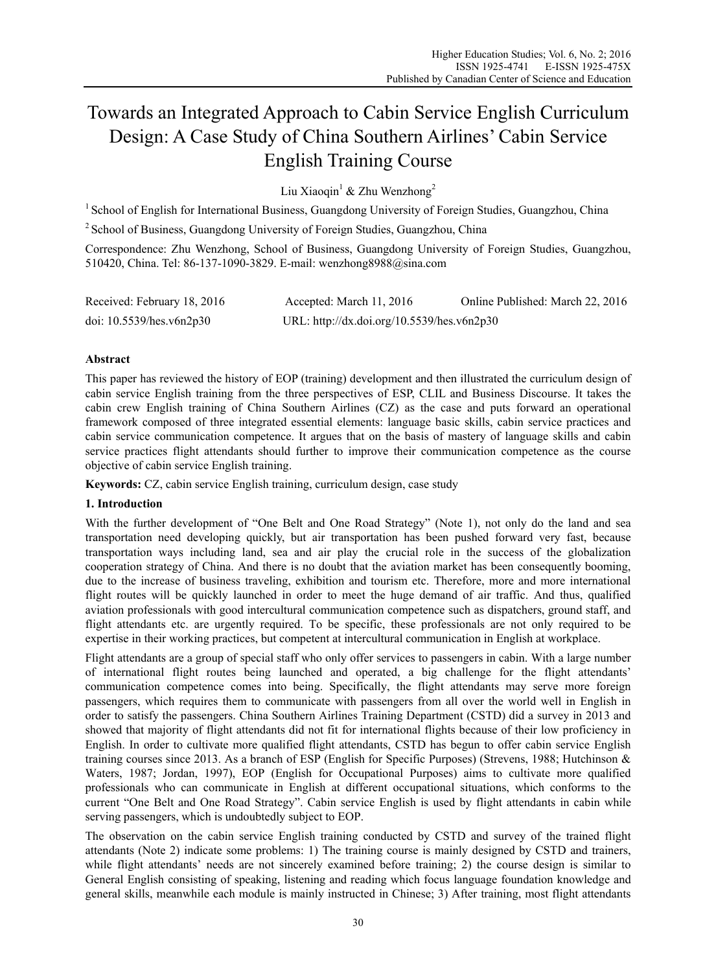# Towards an Integrated Approach to Cabin Service English Curriculum Design: A Case Study of China Southern Airlines' Cabin Service English Training Course

Liu Xiaoqin<sup>1</sup> & Zhu Wenzhong<sup>2</sup>

<sup>1</sup> School of English for International Business, Guangdong University of Foreign Studies, Guangzhou, China

<sup>2</sup> School of Business, Guangdong University of Foreign Studies, Guangzhou, China

Correspondence: Zhu Wenzhong, School of Business, Guangdong University of Foreign Studies, Guangzhou, 510420, China. Tel: 86-137-1090-3829. E-mail: wenzhong8988@sina.com

| Received: February 18, 2016 | Accepted: March 11, 2016                   | Online Published: March 22, 2016 |
|-----------------------------|--------------------------------------------|----------------------------------|
| doi: $10.5539$ /hes.v6n2p30 | URL: http://dx.doi.org/10.5539/hes.v6n2p30 |                                  |

## **Abstract**

This paper has reviewed the history of EOP (training) development and then illustrated the curriculum design of cabin service English training from the three perspectives of ESP, CLIL and Business Discourse. It takes the cabin crew English training of China Southern Airlines (CZ) as the case and puts forward an operational framework composed of three integrated essential elements: language basic skills, cabin service practices and cabin service communication competence. It argues that on the basis of mastery of language skills and cabin service practices flight attendants should further to improve their communication competence as the course objective of cabin service English training.

**Keywords:** CZ, cabin service English training, curriculum design, case study

### **1. Introduction**

With the further development of "One Belt and One Road Strategy" (Note 1), not only do the land and sea transportation need developing quickly, but air transportation has been pushed forward very fast, because transportation ways including land, sea and air play the crucial role in the success of the globalization cooperation strategy of China. And there is no doubt that the aviation market has been consequently booming, due to the increase of business traveling, exhibition and tourism etc. Therefore, more and more international flight routes will be quickly launched in order to meet the huge demand of air traffic. And thus, qualified aviation professionals with good intercultural communication competence such as dispatchers, ground staff, and flight attendants etc. are urgently required. To be specific, these professionals are not only required to be expertise in their working practices, but competent at intercultural communication in English at workplace.

Flight attendants are a group of special staff who only offer services to passengers in cabin. With a large number of international flight routes being launched and operated, a big challenge for the flight attendants' communication competence comes into being. Specifically, the flight attendants may serve more foreign passengers, which requires them to communicate with passengers from all over the world well in English in order to satisfy the passengers. China Southern Airlines Training Department (CSTD) did a survey in 2013 and showed that majority of flight attendants did not fit for international flights because of their low proficiency in English. In order to cultivate more qualified flight attendants, CSTD has begun to offer cabin service English training courses since 2013. As a branch of ESP (English for Specific Purposes) (Strevens, 1988; Hutchinson & Waters, 1987; Jordan, 1997), EOP (English for Occupational Purposes) aims to cultivate more qualified professionals who can communicate in English at different occupational situations, which conforms to the current "One Belt and One Road Strategy". Cabin service English is used by flight attendants in cabin while serving passengers, which is undoubtedly subject to EOP.

The observation on the cabin service English training conducted by CSTD and survey of the trained flight attendants (Note 2) indicate some problems: 1) The training course is mainly designed by CSTD and trainers, while flight attendants' needs are not sincerely examined before training; 2) the course design is similar to General English consisting of speaking, listening and reading which focus language foundation knowledge and general skills, meanwhile each module is mainly instructed in Chinese; 3) After training, most flight attendants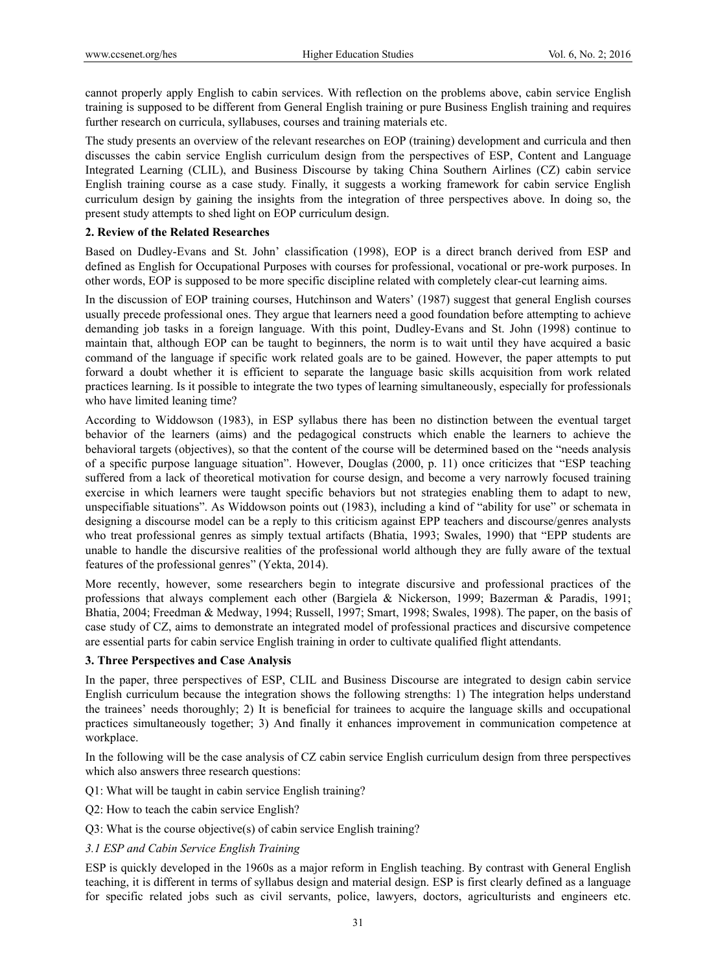cannot properly apply English to cabin services. With reflection on the problems above, cabin service English training is supposed to be different from General English training or pure Business English training and requires further research on curricula, syllabuses, courses and training materials etc.

The study presents an overview of the relevant researches on EOP (training) development and curricula and then discusses the cabin service English curriculum design from the perspectives of ESP, Content and Language Integrated Learning (CLIL), and Business Discourse by taking China Southern Airlines (CZ) cabin service English training course as a case study. Finally, it suggests a working framework for cabin service English curriculum design by gaining the insights from the integration of three perspectives above. In doing so, the present study attempts to shed light on EOP curriculum design.

### **2. Review of the Related Researches**

Based on Dudley-Evans and St. John' classification (1998), EOP is a direct branch derived from ESP and defined as English for Occupational Purposes with courses for professional, vocational or pre-work purposes. In other words, EOP is supposed to be more specific discipline related with completely clear-cut learning aims.

In the discussion of EOP training courses, Hutchinson and Waters' (1987) suggest that general English courses usually precede professional ones. They argue that learners need a good foundation before attempting to achieve demanding job tasks in a foreign language. With this point, Dudley-Evans and St. John (1998) continue to maintain that, although EOP can be taught to beginners, the norm is to wait until they have acquired a basic command of the language if specific work related goals are to be gained. However, the paper attempts to put forward a doubt whether it is efficient to separate the language basic skills acquisition from work related practices learning. Is it possible to integrate the two types of learning simultaneously, especially for professionals who have limited leaning time?

According to Widdowson (1983), in ESP syllabus there has been no distinction between the eventual target behavior of the learners (aims) and the pedagogical constructs which enable the learners to achieve the behavioral targets (objectives), so that the content of the course will be determined based on the "needs analysis of a specific purpose language situation". However, Douglas (2000, p. 11) once criticizes that "ESP teaching suffered from a lack of theoretical motivation for course design, and become a very narrowly focused training exercise in which learners were taught specific behaviors but not strategies enabling them to adapt to new, unspecifiable situations". As Widdowson points out (1983), including a kind of "ability for use" or schemata in designing a discourse model can be a reply to this criticism against EPP teachers and discourse/genres analysts who treat professional genres as simply textual artifacts (Bhatia, 1993; Swales, 1990) that "EPP students are unable to handle the discursive realities of the professional world although they are fully aware of the textual features of the professional genres" (Yekta, 2014).

More recently, however, some researchers begin to integrate discursive and professional practices of the professions that always complement each other (Bargiela & Nickerson, 1999; Bazerman & Paradis, 1991; Bhatia, 2004; Freedman & Medway, 1994; Russell, 1997; Smart, 1998; Swales, 1998). The paper, on the basis of case study of CZ, aims to demonstrate an integrated model of professional practices and discursive competence are essential parts for cabin service English training in order to cultivate qualified flight attendants.

#### **3. Three Perspectives and Case Analysis**

In the paper, three perspectives of ESP, CLIL and Business Discourse are integrated to design cabin service English curriculum because the integration shows the following strengths: 1) The integration helps understand the trainees' needs thoroughly; 2) It is beneficial for trainees to acquire the language skills and occupational practices simultaneously together; 3) And finally it enhances improvement in communication competence at workplace.

In the following will be the case analysis of CZ cabin service English curriculum design from three perspectives which also answers three research questions:

Q1: What will be taught in cabin service English training?

Q2: How to teach the cabin service English?

Q3: What is the course objective(s) of cabin service English training?

*3.1 ESP and Cabin Service English Training* 

ESP is quickly developed in the 1960s as a major reform in English teaching. By contrast with General English teaching, it is different in terms of syllabus design and material design. ESP is first clearly defined as a language for specific related jobs such as civil servants, police, lawyers, doctors, agriculturists and engineers etc.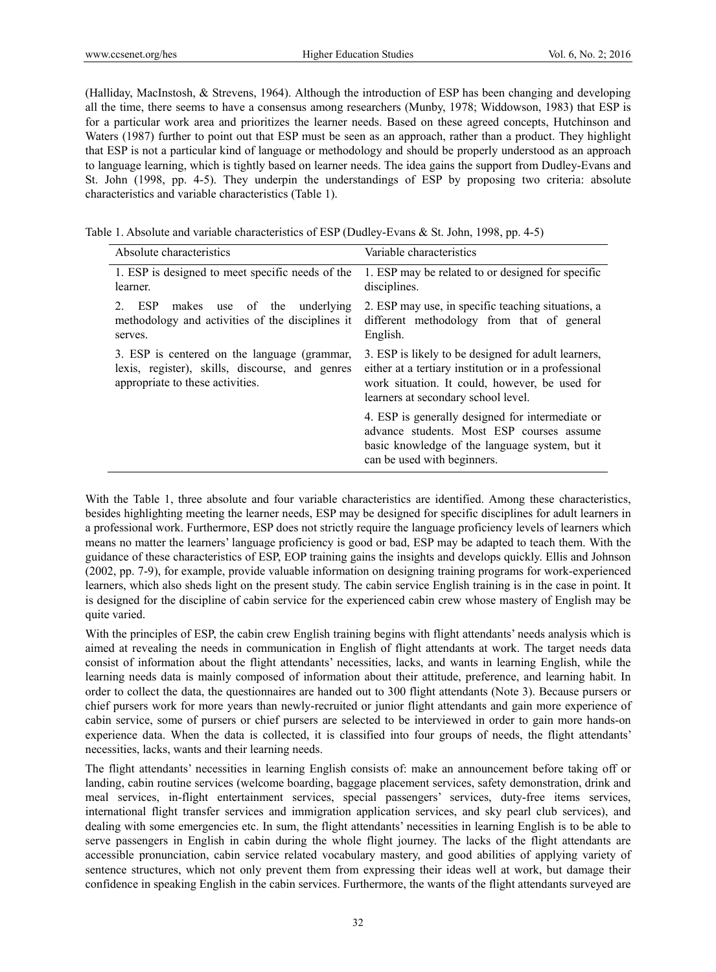(Halliday, MacInstosh, & Strevens, 1964). Although the introduction of ESP has been changing and developing all the time, there seems to have a consensus among researchers (Munby, 1978; Widdowson, 1983) that ESP is for a particular work area and prioritizes the learner needs. Based on these agreed concepts, Hutchinson and Waters (1987) further to point out that ESP must be seen as an approach, rather than a product. They highlight that ESP is not a particular kind of language or methodology and should be properly understood as an approach to language learning, which is tightly based on learner needs. The idea gains the support from Dudley-Evans and St. John (1998, pp. 4-5). They underpin the understandings of ESP by proposing two criteria: absolute characteristics and variable characteristics (Table 1).

Table 1. Absolute and variable characteristics of ESP (Dudley-Evans & St. John, 1998, pp. 4-5)

| Absolute characteristics                                                                                                            | Variable characteristics                                                                                                                                                                              |
|-------------------------------------------------------------------------------------------------------------------------------------|-------------------------------------------------------------------------------------------------------------------------------------------------------------------------------------------------------|
| 1. ESP is designed to meet specific needs of the<br>learner.                                                                        | 1. ESP may be related to or designed for specific<br>disciplines.                                                                                                                                     |
| ESP<br>use of the<br>makes<br>underlying<br>2.<br>methodology and activities of the disciplines it<br>serves.                       | 2. ESP may use, in specific teaching situations, a<br>different methodology from that of general<br>English.                                                                                          |
| 3. ESP is centered on the language (grammar,<br>lexis, register), skills, discourse, and genres<br>appropriate to these activities. | 3. ESP is likely to be designed for adult learners,<br>either at a tertiary institution or in a professional<br>work situation. It could, however, be used for<br>learners at secondary school level. |
|                                                                                                                                     | 4. ESP is generally designed for intermediate or<br>advance students. Most ESP courses assume<br>basic knowledge of the language system, but it<br>can be used with beginners.                        |

With the Table 1, three absolute and four variable characteristics are identified. Among these characteristics, besides highlighting meeting the learner needs, ESP may be designed for specific disciplines for adult learners in a professional work. Furthermore, ESP does not strictly require the language proficiency levels of learners which means no matter the learners' language proficiency is good or bad, ESP may be adapted to teach them. With the guidance of these characteristics of ESP, EOP training gains the insights and develops quickly. Ellis and Johnson (2002, pp. 7-9), for example, provide valuable information on designing training programs for work-experienced learners, which also sheds light on the present study. The cabin service English training is in the case in point. It is designed for the discipline of cabin service for the experienced cabin crew whose mastery of English may be quite varied.

With the principles of ESP, the cabin crew English training begins with flight attendants' needs analysis which is aimed at revealing the needs in communication in English of flight attendants at work. The target needs data consist of information about the flight attendants' necessities, lacks, and wants in learning English, while the learning needs data is mainly composed of information about their attitude, preference, and learning habit. In order to collect the data, the questionnaires are handed out to 300 flight attendants (Note 3). Because pursers or chief pursers work for more years than newly-recruited or junior flight attendants and gain more experience of cabin service, some of pursers or chief pursers are selected to be interviewed in order to gain more hands-on experience data. When the data is collected, it is classified into four groups of needs, the flight attendants' necessities, lacks, wants and their learning needs.

The flight attendants' necessities in learning English consists of: make an announcement before taking off or landing, cabin routine services (welcome boarding, baggage placement services, safety demonstration, drink and meal services, in-flight entertainment services, special passengers' services, duty-free items services, international flight transfer services and immigration application services, and sky pearl club services), and dealing with some emergencies etc. In sum, the flight attendants' necessities in learning English is to be able to serve passengers in English in cabin during the whole flight journey. The lacks of the flight attendants are accessible pronunciation, cabin service related vocabulary mastery, and good abilities of applying variety of sentence structures, which not only prevent them from expressing their ideas well at work, but damage their confidence in speaking English in the cabin services. Furthermore, the wants of the flight attendants surveyed are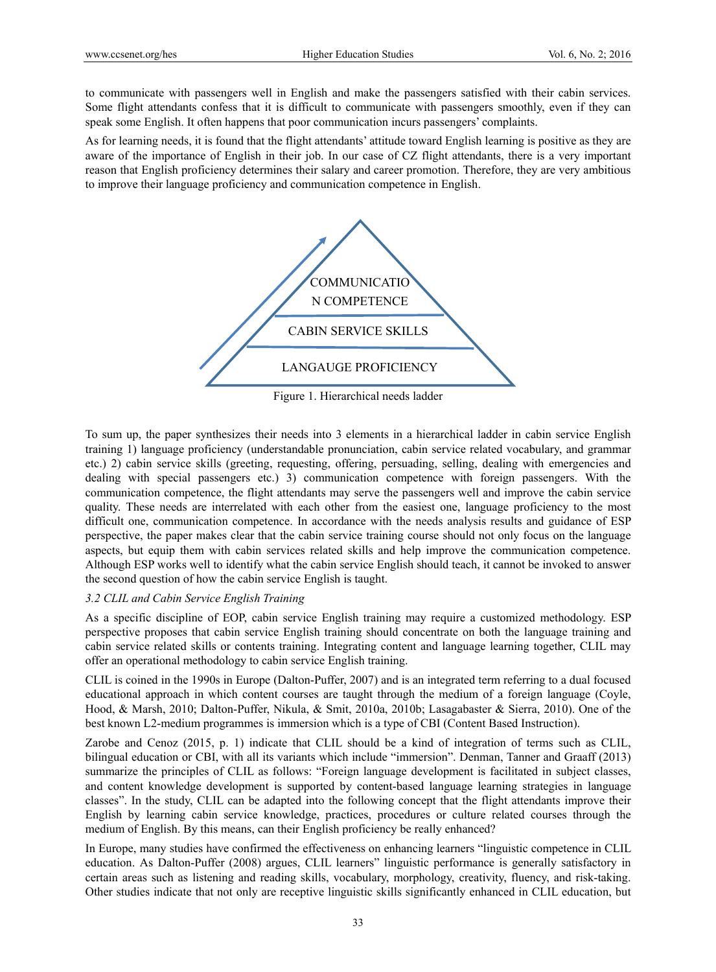to communicate with passengers well in English and make the passengers satisfied with their cabin services. Some flight attendants confess that it is difficult to communicate with passengers smoothly, even if they can speak some English. It often happens that poor communication incurs passengers' complaints.

As for learning needs, it is found that the flight attendants' attitude toward English learning is positive as they are aware of the importance of English in their job. In our case of CZ flight attendants, there is a very important reason that English proficiency determines their salary and career promotion. Therefore, they are very ambitious to improve their language proficiency and communication competence in English.



Figure 1. Hierarchical needs ladder

To sum up, the paper synthesizes their needs into 3 elements in a hierarchical ladder in cabin service English training 1) language proficiency (understandable pronunciation, cabin service related vocabulary, and grammar etc.) 2) cabin service skills (greeting, requesting, offering, persuading, selling, dealing with emergencies and dealing with special passengers etc.) 3) communication competence with foreign passengers. With the communication competence, the flight attendants may serve the passengers well and improve the cabin service quality. These needs are interrelated with each other from the easiest one, language proficiency to the most difficult one, communication competence. In accordance with the needs analysis results and guidance of ESP perspective, the paper makes clear that the cabin service training course should not only focus on the language aspects, but equip them with cabin services related skills and help improve the communication competence. Although ESP works well to identify what the cabin service English should teach, it cannot be invoked to answer the second question of how the cabin service English is taught.

### *3.2 CLIL and Cabin Service English Training*

As a specific discipline of EOP, cabin service English training may require a customized methodology. ESP perspective proposes that cabin service English training should concentrate on both the language training and cabin service related skills or contents training. Integrating content and language learning together, CLIL may offer an operational methodology to cabin service English training.

CLIL is coined in the 1990s in Europe (Dalton-Puffer, 2007) and is an integrated term referring to a dual focused educational approach in which content courses are taught through the medium of a foreign language (Coyle, Hood, & Marsh, 2010; Dalton-Puffer, Nikula, & Smit, 2010a, 2010b; Lasagabaster & Sierra, 2010). One of the best known L2-medium programmes is immersion which is a type of CBI (Content Based Instruction).

Zarobe and Cenoz (2015, p. 1) indicate that CLIL should be a kind of integration of terms such as CLIL, bilingual education or CBI, with all its variants which include "immersion". Denman, Tanner and Graaff (2013) summarize the principles of CLIL as follows: "Foreign language development is facilitated in subject classes, and content knowledge development is supported by content-based language learning strategies in language classes". In the study, CLIL can be adapted into the following concept that the flight attendants improve their English by learning cabin service knowledge, practices, procedures or culture related courses through the medium of English. By this means, can their English proficiency be really enhanced?

In Europe, many studies have confirmed the effectiveness on enhancing learners "linguistic competence in CLIL education. As Dalton-Puffer (2008) argues, CLIL learners" linguistic performance is generally satisfactory in certain areas such as listening and reading skills, vocabulary, morphology, creativity, fluency, and risk-taking. Other studies indicate that not only are receptive linguistic skills significantly enhanced in CLIL education, but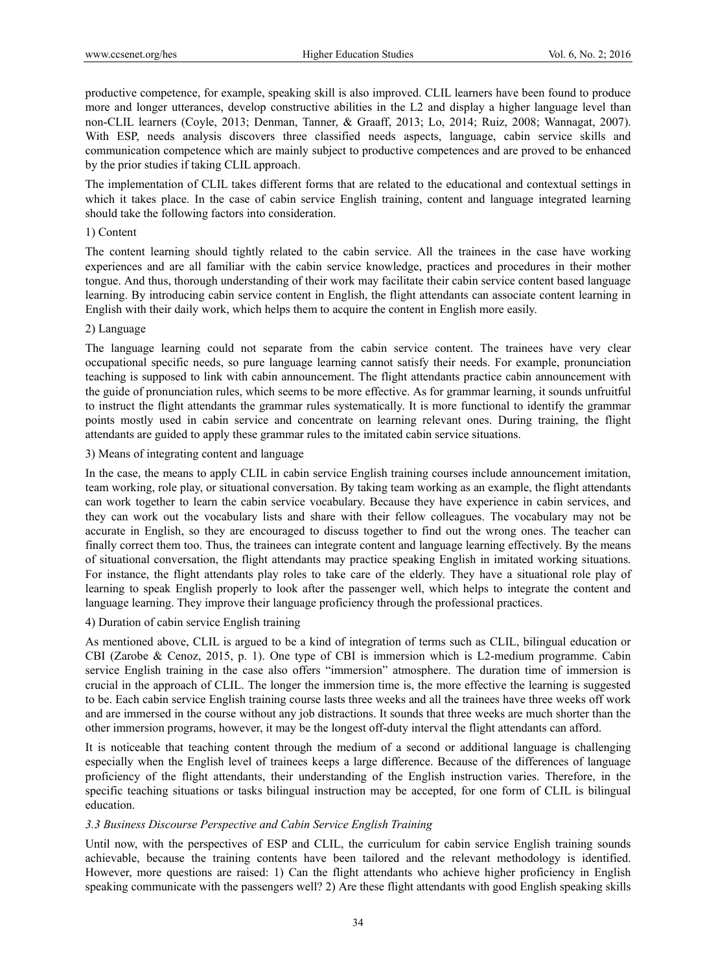productive competence, for example, speaking skill is also improved. CLIL learners have been found to produce more and longer utterances, develop constructive abilities in the L2 and display a higher language level than non-CLIL learners (Coyle, 2013; Denman, Tanner, & Graaff, 2013; Lo, 2014; Ruiz, 2008; Wannagat, 2007). With ESP, needs analysis discovers three classified needs aspects, language, cabin service skills and communication competence which are mainly subject to productive competences and are proved to be enhanced by the prior studies if taking CLIL approach.

The implementation of CLIL takes different forms that are related to the educational and contextual settings in which it takes place. In the case of cabin service English training, content and language integrated learning should take the following factors into consideration.

## 1) Content

The content learning should tightly related to the cabin service. All the trainees in the case have working experiences and are all familiar with the cabin service knowledge, practices and procedures in their mother tongue. And thus, thorough understanding of their work may facilitate their cabin service content based language learning. By introducing cabin service content in English, the flight attendants can associate content learning in English with their daily work, which helps them to acquire the content in English more easily.

## 2) Language

The language learning could not separate from the cabin service content. The trainees have very clear occupational specific needs, so pure language learning cannot satisfy their needs. For example, pronunciation teaching is supposed to link with cabin announcement. The flight attendants practice cabin announcement with the guide of pronunciation rules, which seems to be more effective. As for grammar learning, it sounds unfruitful to instruct the flight attendants the grammar rules systematically. It is more functional to identify the grammar points mostly used in cabin service and concentrate on learning relevant ones. During training, the flight attendants are guided to apply these grammar rules to the imitated cabin service situations.

## 3) Means of integrating content and language

In the case, the means to apply CLIL in cabin service English training courses include announcement imitation, team working, role play, or situational conversation. By taking team working as an example, the flight attendants can work together to learn the cabin service vocabulary. Because they have experience in cabin services, and they can work out the vocabulary lists and share with their fellow colleagues. The vocabulary may not be accurate in English, so they are encouraged to discuss together to find out the wrong ones. The teacher can finally correct them too. Thus, the trainees can integrate content and language learning effectively. By the means of situational conversation, the flight attendants may practice speaking English in imitated working situations. For instance, the flight attendants play roles to take care of the elderly. They have a situational role play of learning to speak English properly to look after the passenger well, which helps to integrate the content and language learning. They improve their language proficiency through the professional practices.

### 4) Duration of cabin service English training

As mentioned above, CLIL is argued to be a kind of integration of terms such as CLIL, bilingual education or CBI (Zarobe & Cenoz, 2015, p. 1). One type of CBI is immersion which is L2-medium programme. Cabin service English training in the case also offers "immersion" atmosphere. The duration time of immersion is crucial in the approach of CLIL. The longer the immersion time is, the more effective the learning is suggested to be. Each cabin service English training course lasts three weeks and all the trainees have three weeks off work and are immersed in the course without any job distractions. It sounds that three weeks are much shorter than the other immersion programs, however, it may be the longest off-duty interval the flight attendants can afford.

It is noticeable that teaching content through the medium of a second or additional language is challenging especially when the English level of trainees keeps a large difference. Because of the differences of language proficiency of the flight attendants, their understanding of the English instruction varies. Therefore, in the specific teaching situations or tasks bilingual instruction may be accepted, for one form of CLIL is bilingual education.

## *3.3 Business Discourse Perspective and Cabin Service English Training*

Until now, with the perspectives of ESP and CLIL, the curriculum for cabin service English training sounds achievable, because the training contents have been tailored and the relevant methodology is identified. However, more questions are raised: 1) Can the flight attendants who achieve higher proficiency in English speaking communicate with the passengers well? 2) Are these flight attendants with good English speaking skills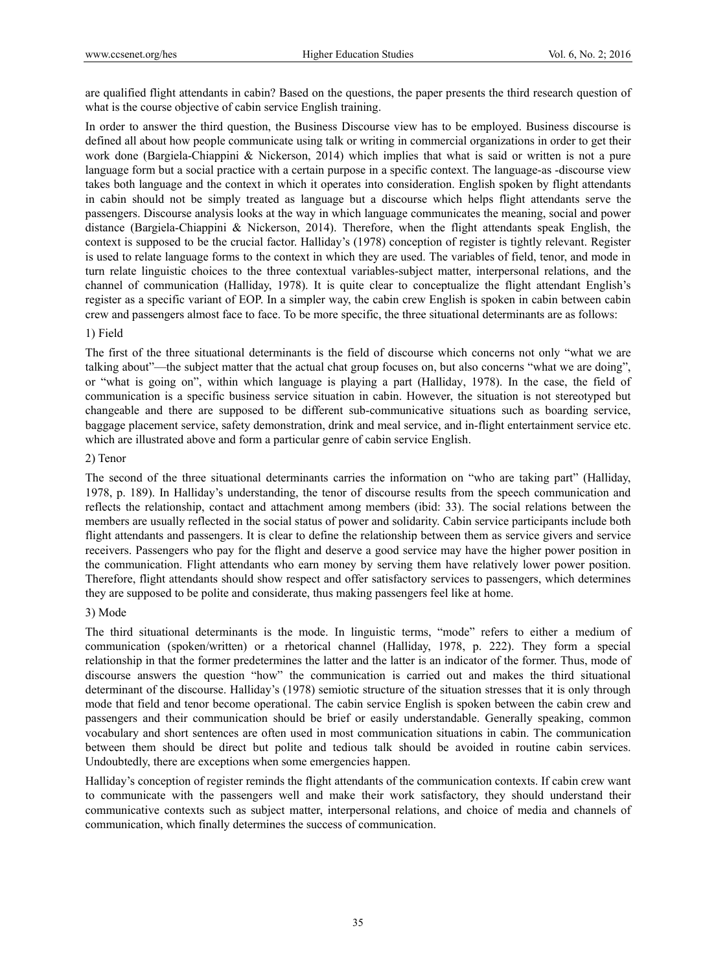are qualified flight attendants in cabin? Based on the questions, the paper presents the third research question of what is the course objective of cabin service English training.

In order to answer the third question, the Business Discourse view has to be employed. Business discourse is defined all about how people communicate using talk or writing in commercial organizations in order to get their work done (Bargiela-Chiappini & Nickerson, 2014) which implies that what is said or written is not a pure language form but a social practice with a certain purpose in a specific context. The language-as -discourse view takes both language and the context in which it operates into consideration. English spoken by flight attendants in cabin should not be simply treated as language but a discourse which helps flight attendants serve the passengers. Discourse analysis looks at the way in which language communicates the meaning, social and power distance (Bargiela-Chiappini & Nickerson, 2014). Therefore, when the flight attendants speak English, the context is supposed to be the crucial factor. Halliday's (1978) conception of register is tightly relevant. Register is used to relate language forms to the context in which they are used. The variables of field, tenor, and mode in turn relate linguistic choices to the three contextual variables-subject matter, interpersonal relations, and the channel of communication (Halliday, 1978). It is quite clear to conceptualize the flight attendant English's register as a specific variant of EOP. In a simpler way, the cabin crew English is spoken in cabin between cabin crew and passengers almost face to face. To be more specific, the three situational determinants are as follows:

#### 1) Field

The first of the three situational determinants is the field of discourse which concerns not only "what we are talking about"—the subject matter that the actual chat group focuses on, but also concerns "what we are doing", or "what is going on", within which language is playing a part (Halliday, 1978). In the case, the field of communication is a specific business service situation in cabin. However, the situation is not stereotyped but changeable and there are supposed to be different sub-communicative situations such as boarding service, baggage placement service, safety demonstration, drink and meal service, and in-flight entertainment service etc. which are illustrated above and form a particular genre of cabin service English.

### 2) Tenor

The second of the three situational determinants carries the information on "who are taking part" (Halliday, 1978, p. 189). In Halliday's understanding, the tenor of discourse results from the speech communication and reflects the relationship, contact and attachment among members (ibid: 33). The social relations between the members are usually reflected in the social status of power and solidarity. Cabin service participants include both flight attendants and passengers. It is clear to define the relationship between them as service givers and service receivers. Passengers who pay for the flight and deserve a good service may have the higher power position in the communication. Flight attendants who earn money by serving them have relatively lower power position. Therefore, flight attendants should show respect and offer satisfactory services to passengers, which determines they are supposed to be polite and considerate, thus making passengers feel like at home.

### 3) Mode

The third situational determinants is the mode. In linguistic terms, "mode" refers to either a medium of communication (spoken/written) or a rhetorical channel (Halliday, 1978, p. 222). They form a special relationship in that the former predetermines the latter and the latter is an indicator of the former. Thus, mode of discourse answers the question "how" the communication is carried out and makes the third situational determinant of the discourse. Halliday's (1978) semiotic structure of the situation stresses that it is only through mode that field and tenor become operational. The cabin service English is spoken between the cabin crew and passengers and their communication should be brief or easily understandable. Generally speaking, common vocabulary and short sentences are often used in most communication situations in cabin. The communication between them should be direct but polite and tedious talk should be avoided in routine cabin services. Undoubtedly, there are exceptions when some emergencies happen.

Halliday's conception of register reminds the flight attendants of the communication contexts. If cabin crew want to communicate with the passengers well and make their work satisfactory, they should understand their communicative contexts such as subject matter, interpersonal relations, and choice of media and channels of communication, which finally determines the success of communication.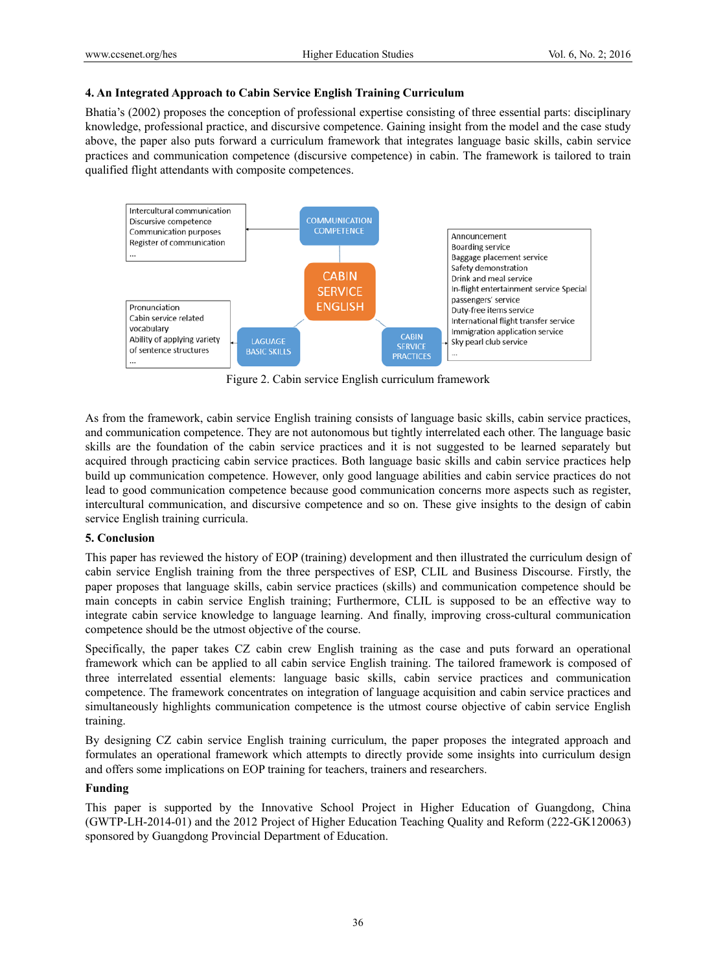## **4. An Integrated Approach to Cabin Service English Training Curriculum**

Bhatia's (2002) proposes the conception of professional expertise consisting of three essential parts: disciplinary knowledge, professional practice, and discursive competence. Gaining insight from the model and the case study above, the paper also puts forward a curriculum framework that integrates language basic skills, cabin service practices and communication competence (discursive competence) in cabin. The framework is tailored to train qualified flight attendants with composite competences.



Figure 2. Cabin service English curriculum framework

As from the framework, cabin service English training consists of language basic skills, cabin service practices, and communication competence. They are not autonomous but tightly interrelated each other. The language basic skills are the foundation of the cabin service practices and it is not suggested to be learned separately but acquired through practicing cabin service practices. Both language basic skills and cabin service practices help build up communication competence. However, only good language abilities and cabin service practices do not lead to good communication competence because good communication concerns more aspects such as register, intercultural communication, and discursive competence and so on. These give insights to the design of cabin service English training curricula.

## **5. Conclusion**

This paper has reviewed the history of EOP (training) development and then illustrated the curriculum design of cabin service English training from the three perspectives of ESP, CLIL and Business Discourse. Firstly, the paper proposes that language skills, cabin service practices (skills) and communication competence should be main concepts in cabin service English training; Furthermore, CLIL is supposed to be an effective way to integrate cabin service knowledge to language learning. And finally, improving cross-cultural communication competence should be the utmost objective of the course.

Specifically, the paper takes CZ cabin crew English training as the case and puts forward an operational framework which can be applied to all cabin service English training. The tailored framework is composed of three interrelated essential elements: language basic skills, cabin service practices and communication competence. The framework concentrates on integration of language acquisition and cabin service practices and simultaneously highlights communication competence is the utmost course objective of cabin service English training.

By designing CZ cabin service English training curriculum, the paper proposes the integrated approach and formulates an operational framework which attempts to directly provide some insights into curriculum design and offers some implications on EOP training for teachers, trainers and researchers.

## **Funding**

This paper is supported by the Innovative School Project in Higher Education of Guangdong, China (GWTP-LH-2014-01) and the 2012 Project of Higher Education Teaching Quality and Reform (222-GK120063) sponsored by Guangdong Provincial Department of Education.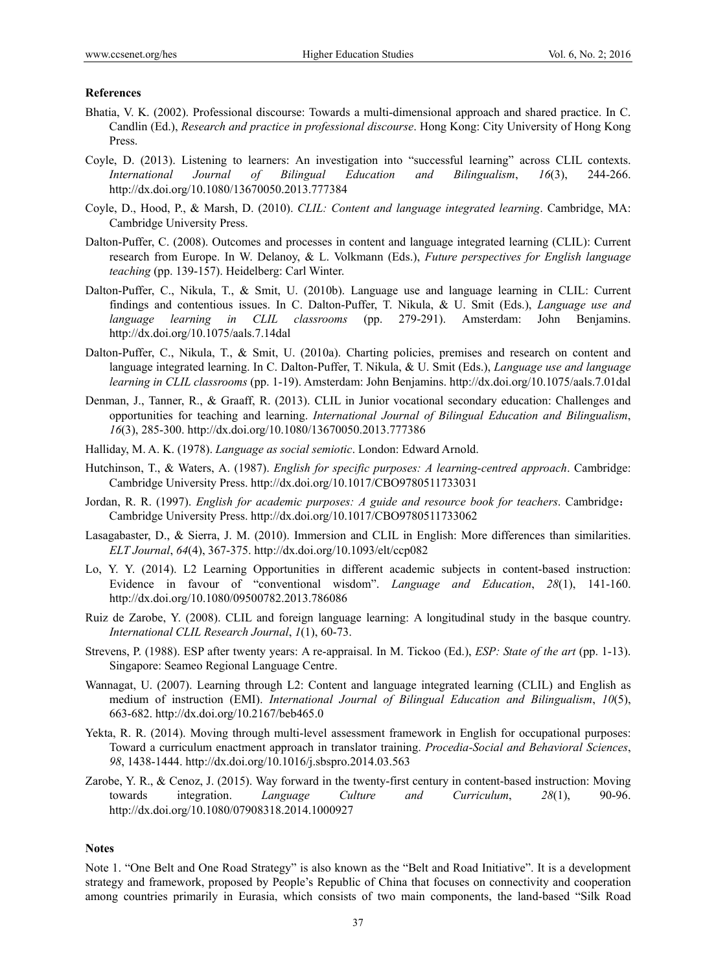#### **References**

- Bhatia, V. K. (2002). Professional discourse: Towards a multi-dimensional approach and shared practice. In C. Candlin (Ed.), *Research and practice in professional discourse*. Hong Kong: City University of Hong Kong Press.
- Coyle, D. (2013). Listening to learners: An investigation into "successful learning" across CLIL contexts. *International Journal of Bilingual Education and Bilingualism*, *16*(3), 244-266. http://dx.doi.org/10.1080/13670050.2013.777384
- Coyle, D., Hood, P., & Marsh, D. (2010). *CLIL: Content and language integrated learning*. Cambridge, MA: Cambridge University Press.
- Dalton-Puffer, C. (2008). Outcomes and processes in content and language integrated learning (CLIL): Current research from Europe. In W. Delanoy, & L. Volkmann (Eds.), *Future perspectives for English language teaching* (pp. 139-157). Heidelberg: Carl Winter.
- Dalton-Puffer, C., Nikula, T., & Smit, U. (2010b). Language use and language learning in CLIL: Current findings and contentious issues. In C. Dalton-Puffer, T. Nikula, & U. Smit (Eds.), *Language use and language learning in CLIL classrooms* (pp. 279-291). Amsterdam: John Benjamins. http://dx.doi.org/10.1075/aals.7.14dal
- Dalton-Puffer, C., Nikula, T., & Smit, U. (2010a). Charting policies, premises and research on content and language integrated learning. In C. Dalton-Puffer, T. Nikula, & U. Smit (Eds.), *Language use and language learning in CLIL classrooms* (pp. 1-19). Amsterdam: John Benjamins. http://dx.doi.org/10.1075/aals.7.01dal
- Denman, J., Tanner, R., & Graaff, R. (2013). CLIL in Junior vocational secondary education: Challenges and opportunities for teaching and learning. *International Journal of Bilingual Education and Bilingualism*, *16*(3), 285-300. http://dx.doi.org/10.1080/13670050.2013.777386
- Halliday, M. A. K. (1978). *Language as social semiotic*. London: Edward Arnold.
- Hutchinson, T., & Waters, A. (1987). *English for specific purposes: A learning-centred approach*. Cambridge: Cambridge University Press. http://dx.doi.org/10.1017/CBO9780511733031
- Jordan, R. R. (1997). *English for academic purposes: A guide and resource book for teachers*. Cambridge: Cambridge University Press. http://dx.doi.org/10.1017/CBO9780511733062
- Lasagabaster, D., & Sierra, J. M. (2010). Immersion and CLIL in English: More differences than similarities. *ELT Journal*, *64*(4), 367-375. http://dx.doi.org/10.1093/elt/ccp082
- Lo, Y. Y. (2014). L2 Learning Opportunities in different academic subjects in content-based instruction: Evidence in favour of "conventional wisdom". *Language and Education*, *28*(1), 141-160. http://dx.doi.org/10.1080/09500782.2013.786086
- Ruiz de Zarobe, Y. (2008). CLIL and foreign language learning: A longitudinal study in the basque country. *International CLIL Research Journal*, *1*(1), 60-73.
- Strevens, P. (1988). ESP after twenty years: A re-appraisal. In M. Tickoo (Ed.), *ESP: State of the art* (pp. 1-13). Singapore: Seameo Regional Language Centre.
- Wannagat, U. (2007). Learning through L2: Content and language integrated learning (CLIL) and English as medium of instruction (EMI). *International Journal of Bilingual Education and Bilingualism*, *10*(5), 663-682. http://dx.doi.org/10.2167/beb465.0
- Yekta, R. R. (2014). Moving through multi-level assessment framework in English for occupational purposes: Toward a curriculum enactment approach in translator training. *Procedia-Social and Behavioral Sciences*, *98*, 1438-1444. http://dx.doi.org/10.1016/j.sbspro.2014.03.563
- Zarobe, Y. R., & Cenoz, J. (2015). Way forward in the twenty-first century in content-based instruction: Moving towards integration. *Language Culture and Curriculum*, *28*(1), 90-96. http://dx.doi.org/10.1080/07908318.2014.1000927

#### **Notes**

Note 1. "One Belt and One Road Strategy" is also known as the "Belt and Road Initiative". It is a development strategy and framework, proposed by People's Republic of China that focuses on connectivity and cooperation among countries primarily in Eurasia, which consists of two main components, the land-based "Silk Road